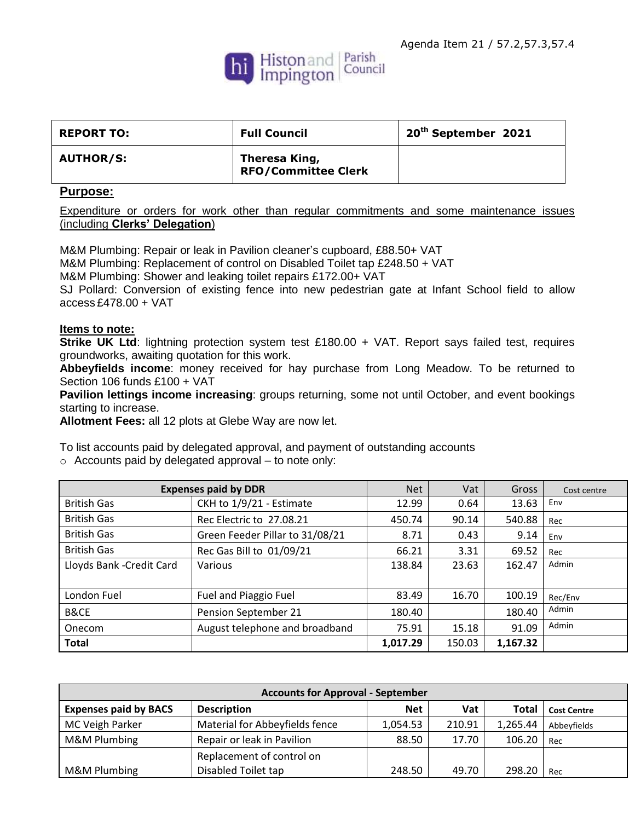

| <b>REPORT TO:</b> | <b>Full Council</b>                         | 20 <sup>th</sup> September 2021 |
|-------------------|---------------------------------------------|---------------------------------|
| <b>AUTHOR/S:</b>  | Theresa King,<br><b>RFO/Committee Clerk</b> |                                 |

## **Purpose:**

Expenditure or orders for work other than regular commitments and some maintenance issues (including **Clerks' Delegation**)

M&M Plumbing: Repair or leak in Pavilion cleaner's cupboard, £88.50+ VAT M&M Plumbing: Replacement of control on Disabled Toilet tap £248.50 + VAT M&M Plumbing: Shower and leaking toilet repairs £172.00+ VAT SJ Pollard: Conversion of existing fence into new pedestrian gate at Infant School field to allow access £478.00 + VAT

## **Items to note:**

**Strike UK Ltd**: lightning protection system test £180.00 + VAT. Report says failed test, requires groundworks, awaiting quotation for this work.

**Abbeyfields income**: money received for hay purchase from Long Meadow. To be returned to Section 106 funds £100 + VAT

**Pavilion lettings income increasing**: groups returning, some not until October, and event bookings starting to increase.

**Allotment Fees:** all 12 plots at Glebe Way are now let.

To list accounts paid by delegated approval, and payment of outstanding accounts

o Accounts paid by delegated approval – to note only:

| <b>Expenses paid by DDR</b> |                                 | <b>Net</b> | Vat    | Gross    | Cost centre |
|-----------------------------|---------------------------------|------------|--------|----------|-------------|
| <b>British Gas</b>          | CKH to 1/9/21 - Estimate        | 12.99      | 0.64   | 13.63    | Env         |
| <b>British Gas</b>          | Rec Electric to 27.08.21        | 450.74     | 90.14  | 540.88   | Rec         |
| <b>British Gas</b>          | Green Feeder Pillar to 31/08/21 | 8.71       | 0.43   | 9.14     | Env         |
| <b>British Gas</b>          | Rec Gas Bill to 01/09/21        | 66.21      | 3.31   | 69.52    | Rec         |
| Lloyds Bank - Credit Card   | Various                         | 138.84     | 23.63  | 162.47   | Admin       |
|                             |                                 |            |        |          |             |
| London Fuel                 | Fuel and Piaggio Fuel           | 83.49      | 16.70  | 100.19   | Rec/Env     |
| <b>B&amp;CE</b>             | Pension September 21            | 180.40     |        | 180.40   | Admin       |
| Onecom                      | August telephone and broadband  | 75.91      | 15.18  | 91.09    | Admin       |
| <b>Total</b>                |                                 | 1,017.29   | 150.03 | 1,167.32 |             |

| <b>Accounts for Approval - September</b> |                                |            |        |              |                    |
|------------------------------------------|--------------------------------|------------|--------|--------------|--------------------|
| <b>Expenses paid by BACS</b>             | <b>Description</b>             | <b>Net</b> | Vat    | <b>Total</b> | <b>Cost Centre</b> |
| MC Veigh Parker                          | Material for Abbeyfields fence | 1,054.53   | 210.91 | 1,265.44     | Abbeyfields        |
| <b>M&amp;M Plumbing</b>                  | Repair or leak in Pavilion     | 88.50      | 17.70  | 106.20       | Rec                |
|                                          | Replacement of control on      |            |        |              |                    |
| <b>M&amp;M Plumbing</b>                  | Disabled Toilet tap            | 248.50     | 49.70  | 298.20       | Rec                |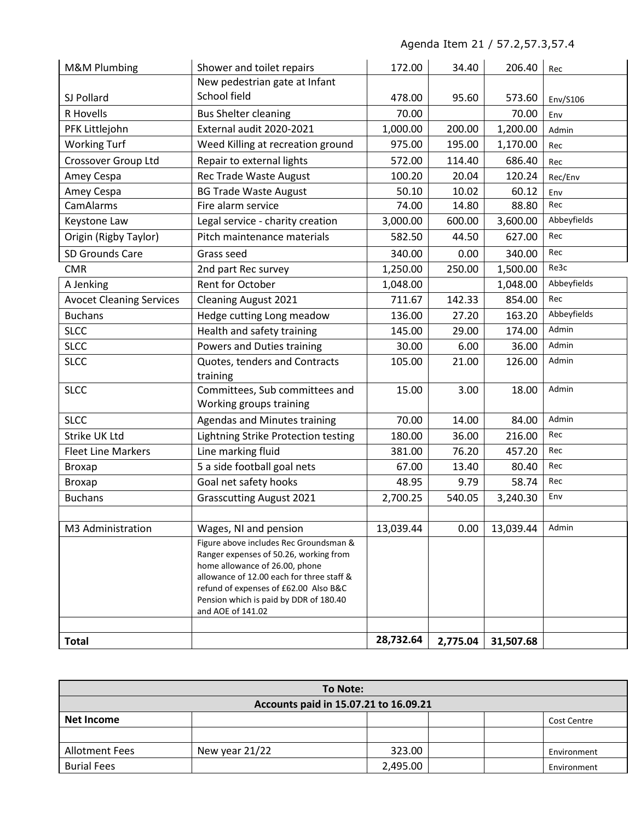Agenda Item 21 / 57.2,57.3,57.4

| M&M Plumbing                    | Shower and toilet repairs                                                | 172.00    | 34.40    | 206.40    | Rec         |
|---------------------------------|--------------------------------------------------------------------------|-----------|----------|-----------|-------------|
|                                 | New pedestrian gate at Infant                                            |           |          |           |             |
| SJ Pollard                      | School field                                                             | 478.00    | 95.60    | 573.60    | Env/S106    |
| R Hovells                       | <b>Bus Shelter cleaning</b>                                              | 70.00     |          | 70.00     | Env         |
| PFK Littlejohn                  | External audit 2020-2021                                                 | 1,000.00  | 200.00   | 1,200.00  | Admin       |
| <b>Working Turf</b>             | Weed Killing at recreation ground                                        | 975.00    | 195.00   | 1,170.00  | Rec         |
| Crossover Group Ltd             | Repair to external lights                                                | 572.00    | 114.40   | 686.40    | Rec         |
| Amey Cespa                      | Rec Trade Waste August                                                   | 100.20    | 20.04    | 120.24    | Rec/Env     |
| Amey Cespa                      | <b>BG Trade Waste August</b>                                             | 50.10     | 10.02    | 60.12     | Env         |
| CamAlarms                       | Fire alarm service                                                       | 74.00     | 14.80    | 88.80     | Rec         |
| Keystone Law                    | Legal service - charity creation                                         | 3,000.00  | 600.00   | 3,600.00  | Abbeyfields |
| Origin (Rigby Taylor)           | Pitch maintenance materials                                              | 582.50    | 44.50    | 627.00    | Rec         |
| SD Grounds Care                 | Grass seed                                                               | 340.00    | 0.00     | 340.00    | Rec         |
| <b>CMR</b>                      | 2nd part Rec survey                                                      | 1,250.00  | 250.00   | 1,500.00  | Re3c        |
| A Jenking                       | Rent for October                                                         | 1,048.00  |          | 1,048.00  | Abbeyfields |
| <b>Avocet Cleaning Services</b> | <b>Cleaning August 2021</b>                                              | 711.67    | 142.33   | 854.00    | Rec         |
| <b>Buchans</b>                  | Hedge cutting Long meadow                                                | 136.00    | 27.20    | 163.20    | Abbeyfields |
| <b>SLCC</b>                     | Health and safety training                                               | 145.00    | 29.00    | 174.00    | Admin       |
| <b>SLCC</b>                     | Powers and Duties training                                               | 30.00     | 6.00     | 36.00     | Admin       |
| <b>SLCC</b>                     | Quotes, tenders and Contracts                                            | 105.00    | 21.00    | 126.00    | Admin       |
|                                 | training                                                                 |           |          |           |             |
| <b>SLCC</b>                     | Committees, Sub committees and                                           | 15.00     | 3.00     | 18.00     | Admin       |
|                                 | Working groups training                                                  |           |          |           |             |
| <b>SLCC</b>                     | <b>Agendas and Minutes training</b>                                      | 70.00     | 14.00    | 84.00     | Admin       |
| Strike UK Ltd                   | Lightning Strike Protection testing                                      | 180.00    | 36.00    | 216.00    | Rec         |
| <b>Fleet Line Markers</b>       | Line marking fluid                                                       | 381.00    | 76.20    | 457.20    | Rec         |
| <b>Broxap</b>                   | 5 a side football goal nets                                              | 67.00     | 13.40    | 80.40     | Rec         |
| <b>Broxap</b>                   | Goal net safety hooks                                                    | 48.95     | 9.79     | 58.74     | Rec         |
| <b>Buchans</b>                  | <b>Grasscutting August 2021</b>                                          | 2,700.25  | 540.05   | 3,240.30  | Env         |
|                                 |                                                                          |           |          |           |             |
| M3 Administration               | Wages, NI and pension                                                    | 13,039.44 | 0.00     | 13,039.44 | Admin       |
|                                 | Figure above includes Rec Groundsman &                                   |           |          |           |             |
|                                 | Ranger expenses of 50.26, working from<br>home allowance of 26.00, phone |           |          |           |             |
|                                 | allowance of 12.00 each for three staff &                                |           |          |           |             |
|                                 | refund of expenses of £62.00 Also B&C                                    |           |          |           |             |
|                                 | Pension which is paid by DDR of 180.40                                   |           |          |           |             |
|                                 | and AOE of 141.02                                                        |           |          |           |             |
|                                 |                                                                          |           |          |           |             |
| <b>Total</b>                    |                                                                          | 28,732.64 | 2,775.04 | 31,507.68 |             |

| To Note:                              |                |          |  |  |             |  |
|---------------------------------------|----------------|----------|--|--|-------------|--|
| Accounts paid in 15.07.21 to 16.09.21 |                |          |  |  |             |  |
| Net Income<br>Cost Centre             |                |          |  |  |             |  |
|                                       |                |          |  |  |             |  |
| <b>Allotment Fees</b>                 | New year 21/22 | 323.00   |  |  | Environment |  |
| <b>Burial Fees</b>                    |                | 2,495.00 |  |  | Environment |  |